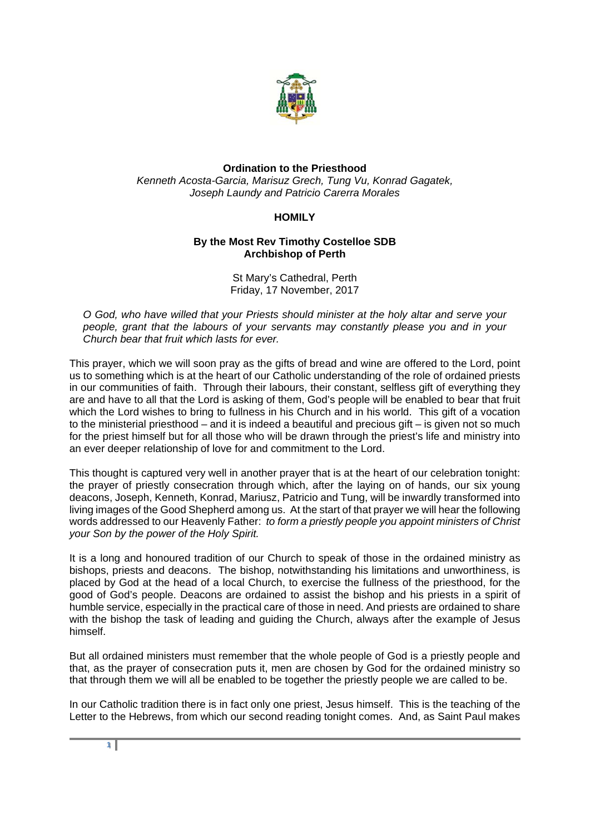

## **Ordination to the Priesthood**  *Kenneth Acosta-Garcia, Marisuz Grech, Tung Vu, Konrad Gagatek, Joseph Laundy and Patricio Carerra Morales*

## **HOMILY**

## **By the Most Rev Timothy Costelloe SDB Archbishop of Perth**

St Mary's Cathedral, Perth Friday, 17 November, 2017

*O God, who have willed that your Priests should minister at the holy altar and serve your people, grant that the labours of your servants may constantly please you and in your Church bear that fruit which lasts for ever.* 

This prayer, which we will soon pray as the gifts of bread and wine are offered to the Lord, point us to something which is at the heart of our Catholic understanding of the role of ordained priests in our communities of faith. Through their labours, their constant, selfless gift of everything they are and have to all that the Lord is asking of them, God's people will be enabled to bear that fruit which the Lord wishes to bring to fullness in his Church and in his world. This gift of a vocation to the ministerial priesthood – and it is indeed a beautiful and precious gift – is given not so much for the priest himself but for all those who will be drawn through the priest's life and ministry into an ever deeper relationship of love for and commitment to the Lord.

This thought is captured very well in another prayer that is at the heart of our celebration tonight: the prayer of priestly consecration through which, after the laying on of hands, our six young deacons, Joseph, Kenneth, Konrad, Mariusz, Patricio and Tung, will be inwardly transformed into living images of the Good Shepherd among us. At the start of that prayer we will hear the following words addressed to our Heavenly Father: *to form a priestly people you appoint ministers of Christ your Son by the power of the Holy Spirit.*

It is a long and honoured tradition of our Church to speak of those in the ordained ministry as bishops, priests and deacons. The bishop, notwithstanding his limitations and unworthiness, is placed by God at the head of a local Church, to exercise the fullness of the priesthood, for the good of God's people. Deacons are ordained to assist the bishop and his priests in a spirit of humble service, especially in the practical care of those in need. And priests are ordained to share with the bishop the task of leading and guiding the Church, always after the example of Jesus himself.

But all ordained ministers must remember that the whole people of God is a priestly people and that, as the prayer of consecration puts it, men are chosen by God for the ordained ministry so that through them we will all be enabled to be together the priestly people we are called to be.

In our Catholic tradition there is in fact only one priest, Jesus himself. This is the teaching of the Letter to the Hebrews, from which our second reading tonight comes. And, as Saint Paul makes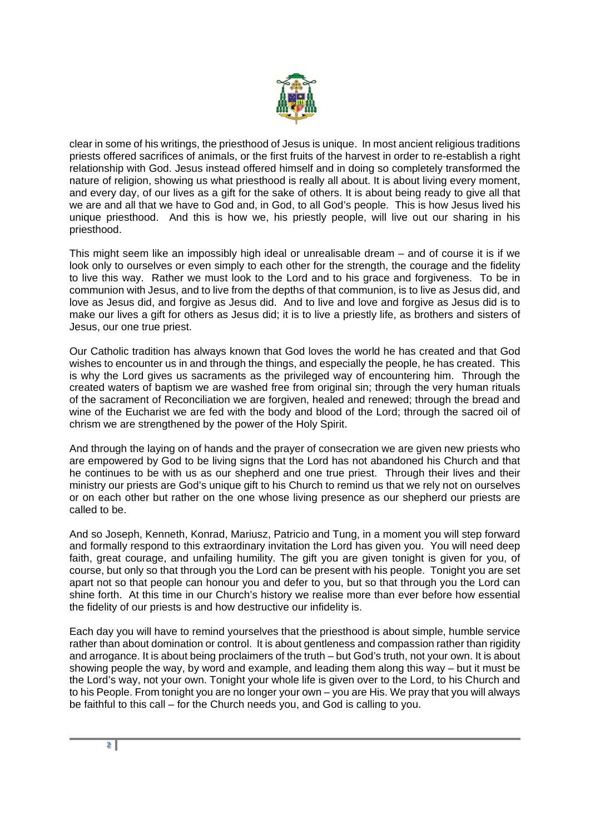

clear in some of his writings, the priesthood of Jesus is unique. In most ancient religious traditions priests offered sacrifices of animals, or the first fruits of the harvest in order to re-establish a right relationship with God. Jesus instead offered himself and in doing so completely transformed the nature of religion, showing us what priesthood is really all about. It is about living every moment, and every day, of our lives as a gift for the sake of others. It is about being ready to give all that we are and all that we have to God and, in God, to all God's people. This is how Jesus lived his unique priesthood. And this is how we, his priestly people, will live out our sharing in his priesthood.

This might seem like an impossibly high ideal or unrealisable dream – and of course it is if we look only to ourselves or even simply to each other for the strength, the courage and the fidelity to live this way. Rather we must look to the Lord and to his grace and forgiveness. To be in communion with Jesus, and to live from the depths of that communion, is to live as Jesus did, and love as Jesus did, and forgive as Jesus did. And to live and love and forgive as Jesus did is to make our lives a gift for others as Jesus did; it is to live a priestly life, as brothers and sisters of Jesus, our one true priest.

Our Catholic tradition has always known that God loves the world he has created and that God wishes to encounter us in and through the things, and especially the people, he has created. This is why the Lord gives us sacraments as the privileged way of encountering him. Through the created waters of baptism we are washed free from original sin; through the very human rituals of the sacrament of Reconciliation we are forgiven, healed and renewed; through the bread and wine of the Eucharist we are fed with the body and blood of the Lord; through the sacred oil of chrism we are strengthened by the power of the Holy Spirit.

And through the laying on of hands and the prayer of consecration we are given new priests who are empowered by God to be living signs that the Lord has not abandoned his Church and that he continues to be with us as our shepherd and one true priest. Through their lives and their ministry our priests are God's unique gift to his Church to remind us that we rely not on ourselves or on each other but rather on the one whose living presence as our shepherd our priests are called to be.

And so Joseph, Kenneth, Konrad, Mariusz, Patricio and Tung, in a moment you will step forward and formally respond to this extraordinary invitation the Lord has given you. You will need deep faith, great courage, and unfailing humility. The gift you are given tonight is given for you, of course, but only so that through you the Lord can be present with his people. Tonight you are set apart not so that people can honour you and defer to you, but so that through you the Lord can shine forth. At this time in our Church's history we realise more than ever before how essential the fidelity of our priests is and how destructive our infidelity is.

Each day you will have to remind yourselves that the priesthood is about simple, humble service rather than about domination or control. It is about gentleness and compassion rather than rigidity and arrogance. It is about being proclaimers of the truth – but God's truth, not your own. It is about showing people the way, by word and example, and leading them along this way – but it must be the Lord's way, not your own. Tonight your whole life is given over to the Lord, to his Church and to his People. From tonight you are no longer your own – you are His. We pray that you will always be faithful to this call – for the Church needs you, and God is calling to you.